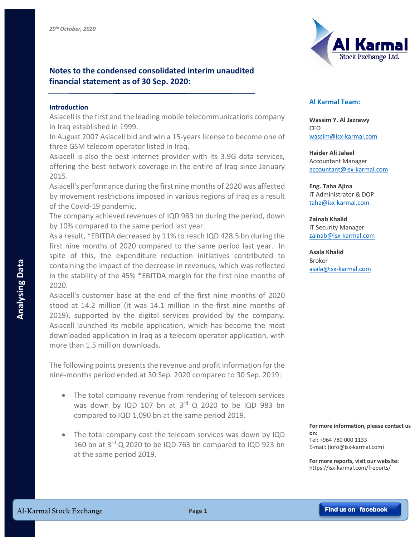## **Notes to the condensed consolidated interim unaudited financial statement as of 30 Sep. 2020:**

## **Introduction**

Asiacell is the first and the leading mobile telecommunications company in Iraq established in 1999.

In August 2007 Asiacell bid and win a 15-years license to become one of three GSM telecom operator listed in Iraq.

Asiacell is also the best internet provider with its 3.9G data services, offering the best network coverage in the entire of Iraq since January 2015.

Asiacell's performance during the first nine months of 2020 was affected by movement restrictions imposed in various regions of Iraq as a result of the Covid-19 pandemic.

The company achieved revenues of IQD 983 bn during the period, down by 10% compared to the same period last year.

As a result, \*EBITDA decreased by 11% to reach IQD 428.5 bn during the first nine months of 2020 compared to the same period last year. In spite of this, the expenditure reduction initiatives contributed to containing the impact of the decrease in revenues, which was reflected in the stability of the 45% \*EBITDA margin for the first nine months of 2020.

Asiacell's customer base at the end of the first nine months of 2020 stood at 14.2 million (it was 14.1 million in the first nine months of 2019), supported by the digital services provided by the company. Asiacell launched its mobile application, which has become the most downloaded application in Iraq as a telecom operator application, with more than 1.5 million downloads. containing the impact of the decrease in revenues, which was reflected<br> **Al-Karmal Condomnation**<br> **Associality of the 45%** \*EBITDA margin for the first nine months of<br>
Associal 20120.<br> **Associal at 4.2 million** (it was 14.

The following points presents the revenue and profit information for the nine-months period ended at 30 Sep. 2020 compared to 30 Sep. 2019:

- The total company revenue from rendering of telecom services was down by IQD 107 bn at  $3<sup>rd</sup>$  Q 2020 to be IQD 983 bn compared to IQD 1,090 bn at the same period 2019.
- The total company cost the telecom services was down by IQD 160 bn at 3rd Q 2020 to be IQD 763 bn compared to IQD 923 bn at the same period 2019.



## **Al Karmal Team:**

**Wassim Y. Al Jazrawy** CEO wassim@isx-karmal.com

**Haider Ali Jaleel** Accountant Manager accountant@isx-karmal.com

**Eng. Taha Ajina**  IT Administrator & DOP taha@isx-karmal.com

**Zainab Khalid** IT Security Manager zainab@isx-karmal.com

**Asala Khalid** Broker asala@isx-karmal.com

**For more information, please contact us on:** Tel: +964 780 000 1133 E-mail: (info@isx-karmal.com)

**For more reports, visit our website:** https://isx-karmal.com/freports/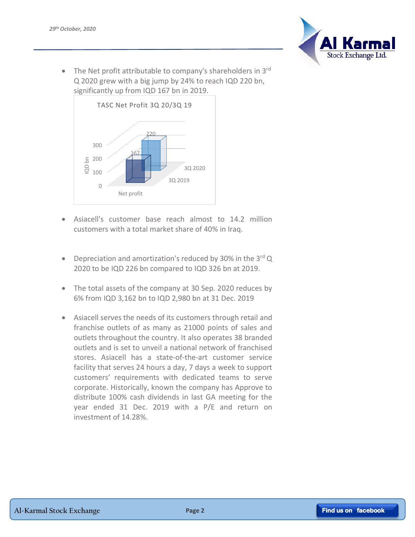

• The Net profit attributable to company's shareholders in 3<sup>rd</sup> Q 2020 grew with a big jump by 24% to reach IQD 220 bn, significantly up from IQD 167 bn in 2019.



- Asiacell's customer base reach almost to 14.2 million customers with a total market share of 40% in Iraq.
- Depreciation and amortization's reduced by 30% in the  $3<sup>rd</sup>$ Q 2020 to be IQD 226 bn compared to IQD 326 bn at 2019.
- The total assets of the company at 30 Sep. 2020 reduces by 6% from IQD 3,162 bn to IQD 2,980 bn at 31 Dec. 2019
- Asiacell serves the needs of its customers through retail and franchise outlets of as many as 21000 points of sales and outlets throughout the country. It also operates 38 branded outlets and is set to unveil a national network of franchised stores. Asiacell has a state-of-the-art customer service facility that serves 24 hours a day, 7 days a week to support customers' requirements with dedicated teams to serve corporate. Historically, known the company has Approve to distribute 100% cash dividends in last GA meeting for the year ended 31 Dec. 2019 with a P/E and return on investment of 14.28%.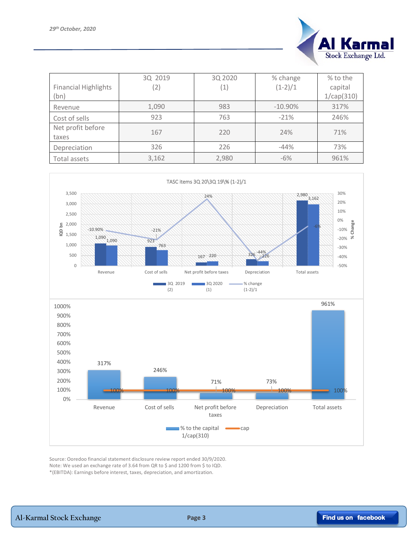

| <b>Financial Highlights</b> | 3Q 2019<br>(2) | 3Q 2020<br>(1) | % change<br>$(1-2)/1$ | % to the<br>capital |
|-----------------------------|----------------|----------------|-----------------------|---------------------|
| (bn)                        |                |                |                       | 1/cap(310)          |
| Revenue                     | 1,090          | 983            | $-10.90\%$            | 317%                |
| Cost of sells               | 923            | 763            | $-21%$                | 246%                |
| Net profit before<br>taxes  | 167            | 220            | 24%                   | 71%                 |
| Depreciation                | 326            | 226            | $-44%$                | 73%                 |
| Total assets                | 3,162          | 2,980          | $-6%$                 | 961%                |



Source: Ooredoo financial statement disclosure review report ended 30/9/2020. Note: We used an exchange rate of 3.64 from QR to \$ and 1200 from \$ to IQD. \*(EBITDA): Earnings before interest, taxes, depreciation, and amortization.